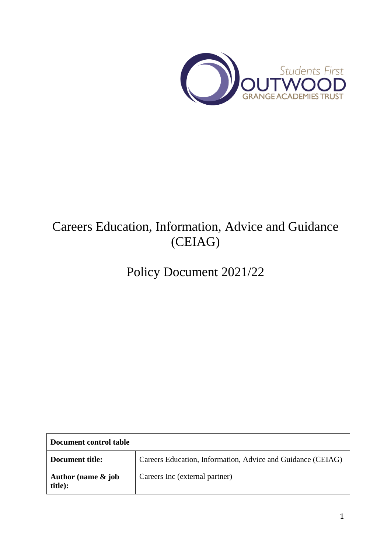

# Careers Education, Information, Advice and Guidance (CEIAG)

Policy Document 2021/22

| Document control table        |                                                             |  |
|-------------------------------|-------------------------------------------------------------|--|
| Document title:               | Careers Education, Information, Advice and Guidance (CEIAG) |  |
| Author (name & job<br>title): | Careers Inc (external partner)                              |  |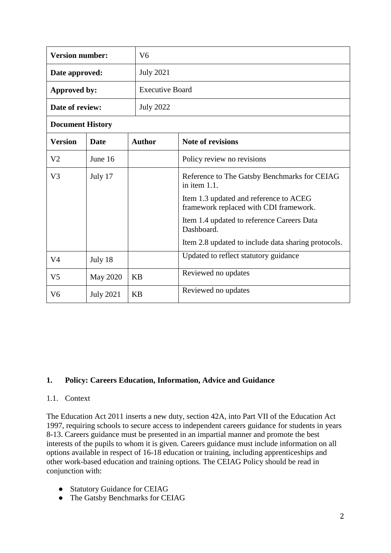| <b>Version number:</b>  |                  | V <sub>6</sub>   |                                                                                  |  |  |
|-------------------------|------------------|------------------|----------------------------------------------------------------------------------|--|--|
| Date approved:          |                  | <b>July 2021</b> |                                                                                  |  |  |
| Approved by:            |                  |                  | <b>Executive Board</b>                                                           |  |  |
| Date of review:         |                  | <b>July 2022</b> |                                                                                  |  |  |
| <b>Document History</b> |                  |                  |                                                                                  |  |  |
| <b>Version</b>          | <b>Date</b>      | <b>Author</b>    | <b>Note of revisions</b>                                                         |  |  |
| V <sub>2</sub>          | June 16          |                  | Policy review no revisions                                                       |  |  |
| V <sub>3</sub>          | July 17          |                  | Reference to The Gatsby Benchmarks for CEIAG<br>in item 1.1.                     |  |  |
|                         |                  |                  | Item 1.3 updated and reference to ACEG<br>framework replaced with CDI framework. |  |  |
|                         |                  |                  | Item 1.4 updated to reference Careers Data<br>Dashboard.                         |  |  |
|                         |                  |                  | Item 2.8 updated to include data sharing protocols.                              |  |  |
| V <sub>4</sub>          | July 18          |                  | Updated to reflect statutory guidance                                            |  |  |
| V <sub>5</sub>          | May 2020         | <b>KB</b>        | Reviewed no updates                                                              |  |  |
| V <sub>6</sub>          | <b>July 2021</b> | <b>KB</b>        | Reviewed no updates                                                              |  |  |

#### **1. Policy: Careers Education, Information, Advice and Guidance**

#### 1.1. Context

The Education Act 2011 inserts a new duty, section 42A, into Part VII of the Education Act 1997, requiring schools to secure access to independent careers guidance for students in years 8-13. Careers guidance must be presented in an impartial manner and promote the best interests of the pupils to whom it is given. Careers guidance must include information on all options available in respect of 16-18 education or training, including apprenticeships and other work-based education and training options. The CEIAG Policy should be read in conjunction with:

- Statutory Guidance for CEIAG
- The Gatsby Benchmarks for CEIAG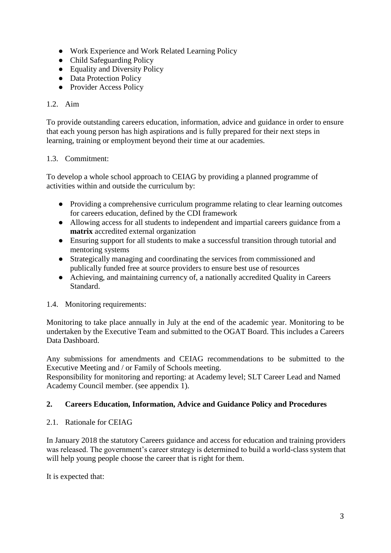- Work Experience and Work Related Learning Policy
- Child Safeguarding Policy
- Equality and Diversity Policy
- Data Protection Policy
- Provider Access Policy

#### 1.2. Aim

To provide outstanding careers education, information, advice and guidance in order to ensure that each young person has high aspirations and is fully prepared for their next steps in learning, training or employment beyond their time at our academies.

#### 1.3. Commitment:

To develop a whole school approach to CEIAG by providing a planned programme of activities within and outside the curriculum by:

- Providing a comprehensive curriculum programme relating to clear learning outcomes for careers education, defined by the CDI framework
- Allowing access for all students to independent and impartial careers guidance from a **matrix** accredited external organization
- Ensuring support for all students to make a successful transition through tutorial and mentoring systems
- Strategically managing and coordinating the services from commissioned and publically funded free at source providers to ensure best use of resources
- Achieving, and maintaining currency of, a nationally accredited Quality in Careers Standard.

#### 1.4. Monitoring requirements:

Monitoring to take place annually in July at the end of the academic year. Monitoring to be undertaken by the Executive Team and submitted to the OGAT Board. This includes a Careers Data Dashboard.

Any submissions for amendments and CEIAG recommendations to be submitted to the Executive Meeting and / or Family of Schools meeting.

Responsibility for monitoring and reporting: at Academy level; SLT Career Lead and Named Academy Council member. (see appendix 1).

## **2. Careers Education, Information, Advice and Guidance Policy and Procedures**

2.1. Rationale for CEIAG

In January 2018 the statutory Careers guidance and access for education and training providers was released. The government's career strategy is determined to build a world-class system that will help young people choose the career that is right for them.

It is expected that: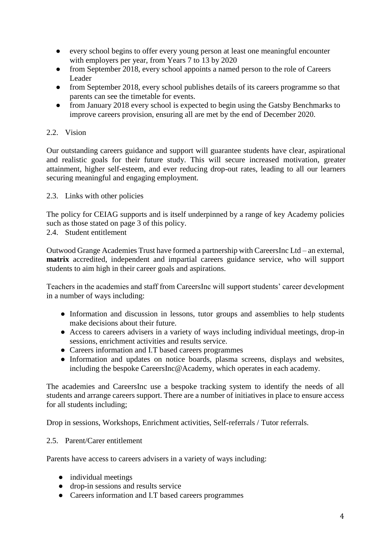- every school begins to offer every young person at least one meaningful encounter with employers per year, from Years 7 to 13 by 2020
- from September 2018, every school appoints a named person to the role of Careers Leader
- from September 2018, every school publishes details of its careers programme so that parents can see the timetable for events.
- from January 2018 every school is expected to begin using the Gatsby Benchmarks to improve careers provision, ensuring all are met by the end of December 2020.

### 2.2. Vision

Our outstanding careers guidance and support will guarantee students have clear, aspirational and realistic goals for their future study. This will secure increased motivation, greater attainment, higher self-esteem, and ever reducing drop-out rates, leading to all our learners securing meaningful and engaging employment.

2.3. Links with other policies

The policy for CEIAG supports and is itself underpinned by a range of key Academy policies such as those stated on page 3 of this policy.

2.4. Student entitlement

Outwood Grange Academies Trust have formed a partnership with CareersInc Ltd – an external, **matrix** accredited, independent and impartial careers guidance service, who will support students to aim high in their career goals and aspirations.

Teachers in the academies and staff from CareersInc will support students' career development in a number of ways including:

- Information and discussion in lessons, tutor groups and assemblies to help students make decisions about their future.
- Access to careers advisers in a variety of ways including individual meetings, drop-in sessions, enrichment activities and results service.
- Careers information and I.T based careers programmes
- Information and updates on notice boards, plasma screens, displays and websites, including the bespoke CareersInc@Academy, which operates in each academy.

The academies and CareersInc use a bespoke tracking system to identify the needs of all students and arrange careers support. There are a number of initiatives in place to ensure access for all students including;

Drop in sessions, Workshops, Enrichment activities, Self-referrals / Tutor referrals.

#### 2.5. Parent/Carer entitlement

Parents have access to careers advisers in a variety of ways including:

- individual meetings
- drop-in sessions and results service
- Careers information and I.T based careers programmes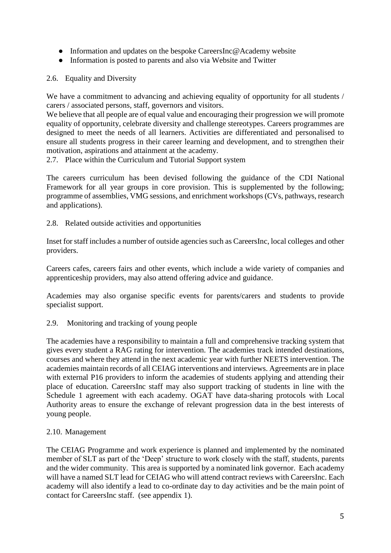- Information and updates on the bespoke CareersInc@Academy website
- Information is posted to parents and also via Website and Twitter
- 2.6. Equality and Diversity

We have a commitment to advancing and achieving equality of opportunity for all students / carers / associated persons, staff, governors and visitors.

We believe that all people are of equal value and encouraging their progression we will promote equality of opportunity, celebrate diversity and challenge stereotypes. Careers programmes are designed to meet the needs of all learners. Activities are differentiated and personalised to ensure all students progress in their career learning and development, and to strengthen their motivation, aspirations and attainment at the academy.

2.7. Place within the Curriculum and Tutorial Support system

The careers curriculum has been devised following the guidance of the CDI National Framework for all year groups in core provision. This is supplemented by the following; programme of assemblies, VMG sessions, and enrichment workshops (CVs, pathways, research and applications).

2.8. Related outside activities and opportunities

Inset for staff includes a number of outside agencies such as CareersInc, local colleges and other providers.

Careers cafes, careers fairs and other events, which include a wide variety of companies and apprenticeship providers, may also attend offering advice and guidance.

Academies may also organise specific events for parents/carers and students to provide specialist support.

2.9. Monitoring and tracking of young people

The academies have a responsibility to maintain a full and comprehensive tracking system that gives every student a RAG rating for intervention. The academies track intended destinations, courses and where they attend in the next academic year with further NEETS intervention. The academies maintain records of all CEIAG interventions and interviews. Agreements are in place with external P16 providers to inform the academies of students applying and attending their place of education. CareersInc staff may also support tracking of students in line with the Schedule 1 agreement with each academy. OGAT have data-sharing protocols with Local Authority areas to ensure the exchange of relevant progression data in the best interests of young people.

#### 2.10. Management

The CEIAG Programme and work experience is planned and implemented by the nominated member of SLT as part of the 'Deep' structure to work closely with the staff, students, parents and the wider community. This area is supported by a nominated link governor. Each academy will have a named SLT lead for CEIAG who will attend contract reviews with CareersInc. Each academy will also identify a lead to co-ordinate day to day activities and be the main point of contact for CareersInc staff. (see appendix 1).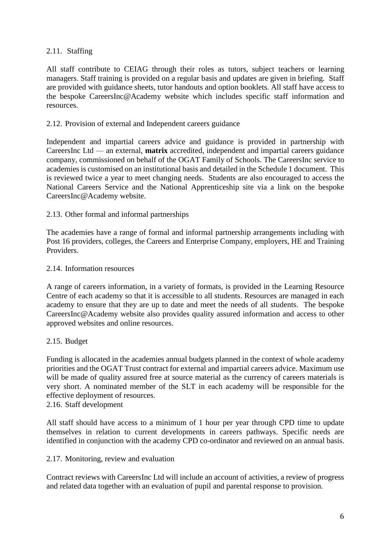#### 2.11. Staffing

All staff contribute to CEIAG through their roles as tutors, subject teachers or learning managers. Staff training is provided on a regular basis and updates are given in briefing. Staff are provided with guidance sheets, tutor handouts and option booklets. All staff have access to the bespoke CareersInc@Academy website which includes specific staff information and resources.

#### 2.12. Provision of external and Independent careers guidance

Independent and impartial careers advice and guidance is provided in partnership with CareersInc Ltd –– an external, **matrix** accredited, independent and impartial careers guidance company, commissioned on behalf of the OGAT Family of Schools. The CareersInc service to academies is customised on an institutional basis and detailed in the Schedule 1 document. This is reviewed twice a year to meet changing needs. Students are also encouraged to access the National Careers Service and the National Apprenticeship site via a link on the bespoke CareersInc@Academy website.

#### 2.13. Other formal and informal partnerships

The academies have a range of formal and informal partnership arrangements including with Post 16 providers, colleges, the Careers and Enterprise Company, employers, HE and Training Providers.

#### 2.14. Information resources

A range of careers information, in a variety of formats, is provided in the Learning Resource Centre of each academy so that it is accessible to all students. Resources are managed in each academy to ensure that they are up to date and meet the needs of all students. The bespoke CareersInc@Academy website also provides quality assured information and access to other approved websites and online resources.

#### 2.15. Budget

Funding is allocated in the academies annual budgets planned in the context of whole academy priorities and the OGAT Trust contract for external and impartial careers advice. Maximum use will be made of quality assured free at source material as the currency of careers materials is very short. A nominated member of the SLT in each academy will be responsible for the effective deployment of resources.

#### 2.16. Staff development

All staff should have access to a minimum of 1 hour per year through CPD time to update themselves in relation to current developments in careers pathways. Specific needs are identified in conjunction with the academy CPD co-ordinator and reviewed on an annual basis.

#### 2.17. Monitoring, review and evaluation

Contract reviews with CareersInc Ltd will include an account of activities, a review of progress and related data together with an evaluation of pupil and parental response to provision.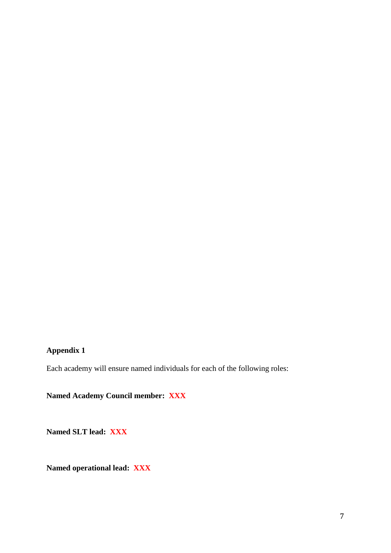# **Appendix 1**

Each academy will ensure named individuals for each of the following roles:

**Named Academy Council member: XXX** 

**Named SLT lead: XXX** 

**Named operational lead: XXX**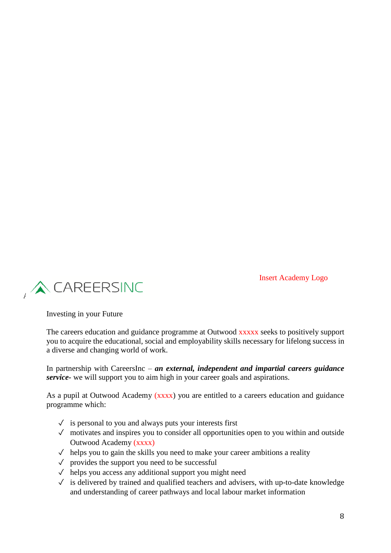Insert Academy Logo



Investing in your Future

The careers education and guidance programme at Outwood xxxxx seeks to positively support you to acquire the educational, social and employability skills necessary for lifelong success in a diverse and changing world of work.

In partnership with CareersInc – *an external, independent and impartial careers guidance service-* we will support you to aim high in your career goals and aspirations.

As a pupil at Outwood Academy (xxxx) you are entitled to a careers education and guidance programme which:

- $\checkmark$  is personal to you and always puts your interests first
- $\sqrt{\ }$  motivates and inspires you to consider all opportunities open to you within and outside Outwood Academy (xxxx)
- $\checkmark$  helps you to gain the skills you need to make your career ambitions a reality
- $\sqrt{\ }$  provides the support you need to be successful
- $\checkmark$  helps you access any additional support you might need
- ✓ is delivered by trained and qualified teachers and advisers, with up-to-date knowledge and understanding of career pathways and local labour market information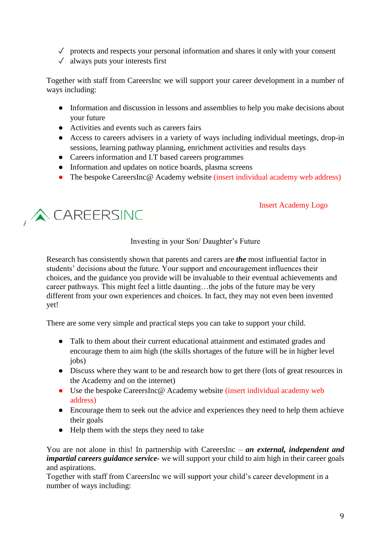- $\sqrt{\ }$  protects and respects your personal information and shares it only with your consent
- $\checkmark$  always puts your interests first

Together with staff from CareersInc we will support your career development in a number of ways including:

- Information and discussion in lessons and assemblies to help you make decisions about your future
- Activities and events such as careers fairs
- Access to careers advisers in a variety of ways including individual meetings, drop-in sessions, learning pathway planning, enrichment activities and results days
- Careers information and I.T based careers programmes
- Information and updates on notice boards, plasma screens
- The bespoke CareersInc@ Academy website (insert individual academy web address)

#### Insert Academy Logo



# Investing in your Son/ Daughter's Future

Research has consistently shown that parents and carers are *the* most influential factor in students' decisions about the future. Your support and encouragement influences their choices, and the guidance you provide will be invaluable to their eventual achievements and career pathways. This might feel a little daunting…the jobs of the future may be very different from your own experiences and choices. In fact, they may not even been invented yet!

There are some very simple and practical steps you can take to support your child.

- Talk to them about their current educational attainment and estimated grades and encourage them to aim high (the skills shortages of the future will be in higher level jobs)
- Discuss where they want to be and research how to get there (lots of great resources in the Academy and on the internet)
- Use the bespoke CareersInc@ Academy website (insert individual academy web address)
- Encourage them to seek out the advice and experiences they need to help them achieve their goals
- Help them with the steps they need to take

You are not alone in this! In partnership with CareersInc – *an external, independent and impartial careers guidance service-* we will support your child to aim high in their career goals and aspirations.

Together with staff from CareersInc we will support your child's career development in a number of ways including: